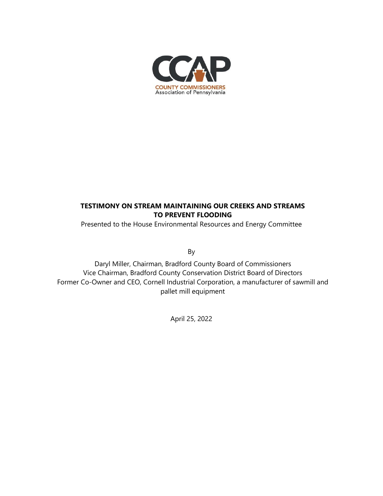

## **TESTIMONY ON STREAM MAINTAINING OUR CREEKS AND STREAMS TO PREVENT FLOODING**

Presented to the House Environmental Resources and Energy Committee

By

Daryl Miller, Chairman, Bradford County Board of Commissioners Vice Chairman, Bradford County Conservation District Board of Directors Former Co-Owner and CEO, Cornell Industrial Corporation, a manufacturer of sawmill and pallet mill equipment

April 25, 2022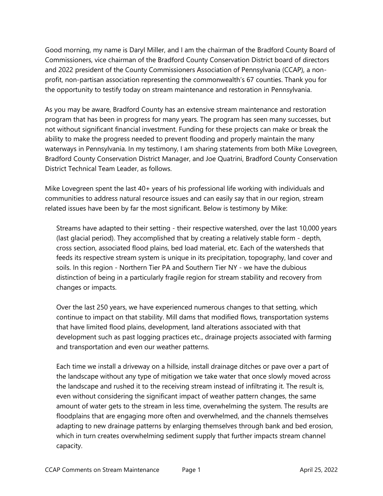Good morning, my name is Daryl Miller, and I am the chairman of the Bradford County Board of Commissioners, vice chairman of the Bradford County Conservation District board of directors and 2022 president of the County Commissioners Association of Pennsylvania (CCAP), a nonprofit, non-partisan association representing the commonwealth's 67 counties. Thank you for the opportunity to testify today on stream maintenance and restoration in Pennsylvania.

As you may be aware, Bradford County has an extensive stream maintenance and restoration program that has been in progress for many years. The program has seen many successes, but not without significant financial investment. Funding for these projects can make or break the ability to make the progress needed to prevent flooding and properly maintain the many waterways in Pennsylvania. In my testimony, I am sharing statements from both Mike Lovegreen, Bradford County Conservation District Manager, and Joe Quatrini, Bradford County Conservation District Technical Team Leader, as follows.

Mike Lovegreen spent the last 40+ years of his professional life working with individuals and communities to address natural resource issues and can easily say that in our region, stream related issues have been by far the most significant. Below is testimony by Mike:

Streams have adapted to their setting - their respective watershed, over the last 10,000 years (last glacial period). They accomplished that by creating a relatively stable form - depth, cross section, associated flood plains, bed load material, etc. Each of the watersheds that feeds its respective stream system is unique in its precipitation, topography, land cover and soils. In this region - Northern Tier PA and Southern Tier NY - we have the dubious distinction of being in a particularly fragile region for stream stability and recovery from changes or impacts.

Over the last 250 years, we have experienced numerous changes to that setting, which continue to impact on that stability. Mill dams that modified flows, transportation systems that have limited flood plains, development, land alterations associated with that development such as past logging practices etc., drainage projects associated with farming and transportation and even our weather patterns.

Each time we install a driveway on a hillside, install drainage ditches or pave over a part of the landscape without any type of mitigation we take water that once slowly moved across the landscape and rushed it to the receiving stream instead of infiltrating it. The result is, even without considering the significant impact of weather pattern changes, the same amount of water gets to the stream in less time, overwhelming the system. The results are floodplains that are engaging more often and overwhelmed, and the channels themselves adapting to new drainage patterns by enlarging themselves through bank and bed erosion, which in turn creates overwhelming sediment supply that further impacts stream channel capacity.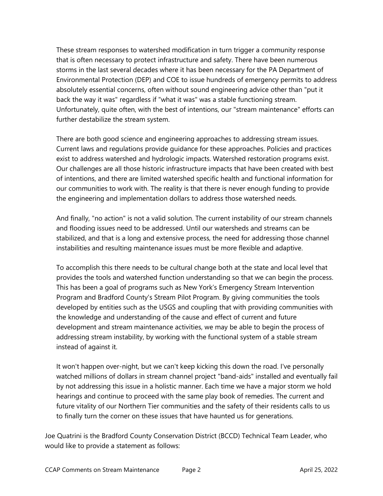These stream responses to watershed modification in turn trigger a community response that is often necessary to protect infrastructure and safety. There have been numerous storms in the last several decades where it has been necessary for the PA Department of Environmental Protection (DEP) and COE to issue hundreds of emergency permits to address absolutely essential concerns, often without sound engineering advice other than "put it back the way it was" regardless if "what it was" was a stable functioning stream. Unfortunately, quite often, with the best of intentions, our "stream maintenance" efforts can further destabilize the stream system.

There are both good science and engineering approaches to addressing stream issues. Current laws and regulations provide guidance for these approaches. Policies and practices exist to address watershed and hydrologic impacts. Watershed restoration programs exist. Our challenges are all those historic infrastructure impacts that have been created with best of intentions, and there are limited watershed specific health and functional information for our communities to work with. The reality is that there is never enough funding to provide the engineering and implementation dollars to address those watershed needs.

And finally, "no action" is not a valid solution. The current instability of our stream channels and flooding issues need to be addressed. Until our watersheds and streams can be stabilized, and that is a long and extensive process, the need for addressing those channel instabilities and resulting maintenance issues must be more flexible and adaptive.

To accomplish this there needs to be cultural change both at the state and local level that provides the tools and watershed function understanding so that we can begin the process. This has been a goal of programs such as New York's Emergency Stream Intervention Program and Bradford County's Stream Pilot Program. By giving communities the tools developed by entities such as the USGS and coupling that with providing communities with the knowledge and understanding of the cause and effect of current and future development and stream maintenance activities, we may be able to begin the process of addressing stream instability, by working with the functional system of a stable stream instead of against it.

It won't happen over-night, but we can't keep kicking this down the road. I've personally watched millions of dollars in stream channel project "band-aids" installed and eventually fail by not addressing this issue in a holistic manner. Each time we have a major storm we hold hearings and continue to proceed with the same play book of remedies. The current and future vitality of our Northern Tier communities and the safety of their residents calls to us to finally turn the corner on these issues that have haunted us for generations.

Joe Quatrini is the Bradford County Conservation District (BCCD) Technical Team Leader, who would like to provide a statement as follows: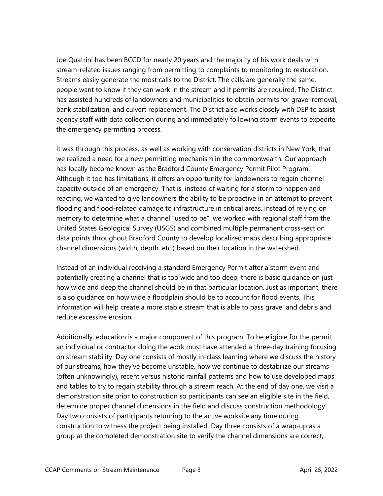Joe Quatrini has been BCCD for nearly 20 years and the majority of his work deals with stream-related issues ranging from permitting to complaints to monitoring to restoration. Streams easily generate the most calls to the District. The calls are generally the same, people want to know if they can work in the stream and if permits are required. The District has assisted hundreds of landowners and municipalities to obtain permits for gravel removal, bank stabilization, and culvert replacement. The District also works closely with DEP to assist agency staff with data collection during and immediately following storm events to expedite the emergency permitting process.

It was through this process, as well as working with conservation districts in New York, that we realized a need for a new permitting mechanism in the commonwealth. Our approach has locally become known as the Bradford County Emergency Permit Pilot Program. Although it too has limitations, it offers an opportunity for landowners to regain channel capacity outside of an emergency. That is, instead of waiting for a storm to happen and reacting, we wanted to give landowners the ability to be proactive in an attempt to prevent flooding and flood-related damage to infrastructure in critical areas. Instead of relying on memory to determine what a channel "used to be", we worked with regional staff from the United States Geological Survey (USGS) and combined multiple permanent cross-section data points throughout Bradford County to develop localized maps describing appropriate channel dimensions (width, depth, etc.) based on their location in the watershed.

Instead of an individual receiving a standard Emergency Permit after a storm event and potentially creating a channel that is too wide and too deep, there is basic guidance on just how wide and deep the channel should be in that particular location. Just as important, there is also guidance on how wide a floodplain should be to account for flood events. This information will help create a more stable stream that is able to pass gravel and debris and reduce excessive erosion.

Additionally, education is a major component of this program. To be eligible for the permit, an individual or contractor doing the work must have attended a three-day training focusing on stream stability. Day one consists of mostly in-class learning where we discuss the history of our streams, how they've become unstable, how we continue to destabilize our streams (often unknowingly), recent versus historic rainfall patterns and how to use developed maps and tables to try to regain stability through a stream reach. At the end of day one, we visit a demonstration site prior to construction so participants can see an eligible site in the field, determine proper channel dimensions in the field and discuss construction methodology. Day two consists of participants returning to the active worksite any time during construction to witness the project being installed. Day three consists of a wrap-up as a group at the completed demonstration site to verify the channel dimensions are correct,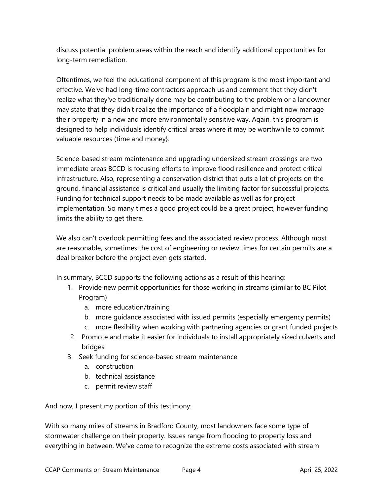discuss potential problem areas within the reach and identify additional opportunities for long-term remediation.

Oftentimes, we feel the educational component of this program is the most important and effective. We've had long-time contractors approach us and comment that they didn't realize what they've traditionally done may be contributing to the problem or a landowner may state that they didn't realize the importance of a floodplain and might now manage their property in a new and more environmentally sensitive way. Again, this program is designed to help individuals identify critical areas where it may be worthwhile to commit valuable resources (time and money}.

Science-based stream maintenance and upgrading undersized stream crossings are two immediate areas BCCD is focusing efforts to improve flood resilience and protect critical infrastructure. Also, representing a conservation district that puts a lot of projects on the ground, financial assistance is critical and usually the limiting factor for successful projects. Funding for technical support needs to be made available as well as for project implementation. So many times a good project could be a great project, however funding limits the ability to get there.

We also can't overlook permitting fees and the associated review process. Although most are reasonable, sometimes the cost of engineering or review times for certain permits are a deal breaker before the project even gets started.

In summary, BCCD supports the following actions as a result of this hearing:

- 1. Provide new permit opportunities for those working in streams (similar to BC Pilot Program)
	- a. more education/training
	- b. more guidance associated with issued permits (especially emergency permits)
	- c. more flexibility when working with partnering agencies or grant funded projects
- 2. Promote and make it easier for individuals to install appropriately sized culverts and bridges
- 3. Seek funding for science-based stream maintenance
	- a. construction
	- b. technical assistance
	- c. permit review staff

And now, I present my portion of this testimony:

With so many miles of streams in Bradford County, most landowners face some type of stormwater challenge on their property. Issues range from flooding to property loss and everything in between. We've come to recognize the extreme costs associated with stream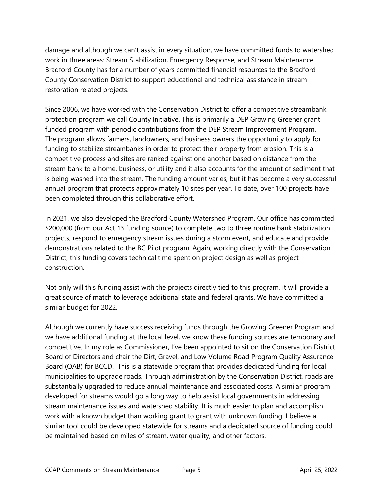damage and although we can't assist in every situation, we have committed funds to watershed work in three areas: Stream Stabilization, Emergency Response, and Stream Maintenance. Bradford County has for a number of years committed financial resources to the Bradford County Conservation District to support educational and technical assistance in stream restoration related projects.

Since 2006, we have worked with the Conservation District to offer a competitive streambank protection program we call County Initiative. This is primarily a DEP Growing Greener grant funded program with periodic contributions from the DEP Stream Improvement Program. The program allows farmers, landowners, and business owners the opportunity to apply for funding to stabilize streambanks in order to protect their property from erosion. This is a competitive process and sites are ranked against one another based on distance from the stream bank to a home, business, or utility and it also accounts for the amount of sediment that is being washed into the stream. The funding amount varies, but it has become a very successful annual program that protects approximately 10 sites per year. To date, over 100 projects have been completed through this collaborative effort.

In 2021, we also developed the Bradford County Watershed Program. Our office has committed \$200,000 (from our Act 13 funding source) to complete two to three routine bank stabilization projects, respond to emergency stream issues during a storm event, and educate and provide demonstrations related to the BC Pilot program. Again, working directly with the Conservation District, this funding covers technical time spent on project design as well as project construction.

Not only will this funding assist with the projects directly tied to this program, it will provide a great source of match to leverage additional state and federal grants. We have committed a similar budget for 2022.

Although we currently have success receiving funds through the Growing Greener Program and we have additional funding at the local level, we know these funding sources are temporary and competitive. In my role as Commissioner, I've been appointed to sit on the Conservation District Board of Directors and chair the Dirt, Gravel, and Low Volume Road Program Quality Assurance Board (QAB) for BCCD. This is a statewide program that provides dedicated funding for local municipalities to upgrade roads. Through administration by the Conservation District, roads are substantially upgraded to reduce annual maintenance and associated costs. A similar program developed for streams would go a long way to help assist local governments in addressing stream maintenance issues and watershed stability. It is much easier to plan and accomplish work with a known budget than working grant to grant with unknown funding. I believe a similar tool could be developed statewide for streams and a dedicated source of funding could be maintained based on miles of stream, water quality, and other factors.